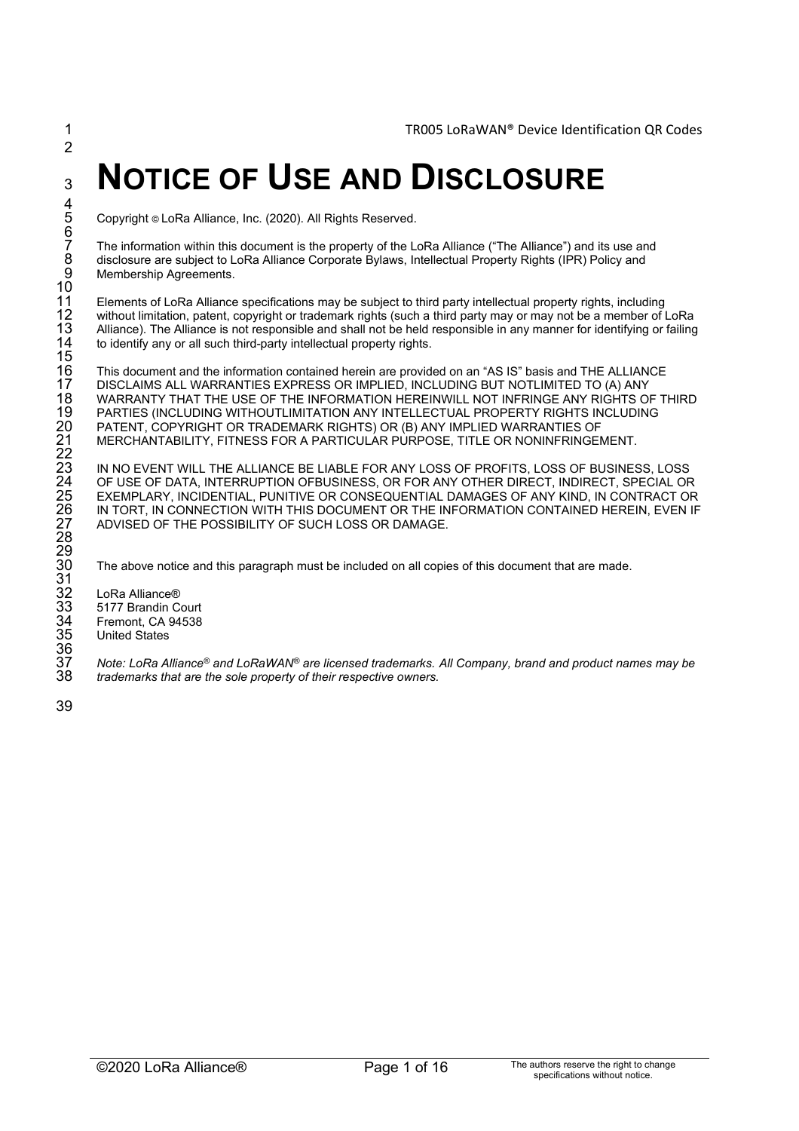# <sup>3</sup> **NOTICE OF USE AND DISCLOSURE**

5 Copyright © LoRa Alliance, Inc. (2020). All Rights Reserved.

The information within this document is the property of the LoRa Alliance ("The Alliance") and its use and disclosure are subject to LoRa Alliance Corporate Bylaws, Intellectual Property Rights (IPR) Policy and Membership Agreements.

Elements of LoRa Alliance specifications may be subject to third party intellectual property rights, including without limitation, patent, copyright or trademark rights (such a third party may or may not be a member of LoRa Alliance). The Alliance is not responsible and shall not be held responsible in any manner for identifying or failing to identify any or all such third-party intellectual property rights.

 This document and the information contained herein are provided on an "AS IS" basis and THE ALLIANCE DISCLAIMS ALL WARRANTIES EXPRESS OR IMPLIED, INCLUDING BUT NOTLIMITED TO (A) ANY WARRANTY THAT THE USE OF THE INFORMATION HEREINWILL NOT INFRINGE ANY RIGHTS OF THIRD PARTIES (INCLUDING WITHOUTLIMITATION ANY INTELLECTUAL PROPERTY RIGHTS INCLUDING PATENT, COPYRIGHT OR TRADEMARK RIGHTS) OR (B) ANY IMPLIED WARRANTIES OF MERCHANTABILITY, FITNESS FOR A PARTICULAR PURPOSE, TITLE OR NONINFRINGEMENT.

IN NO EVENT WILL THE ALLIANCE BE LIABLE FOR ANY LOSS OF PROFITS, LOSS OF BUSINESS, LOSS OF USE OF DATA, INTERRUPTION OFBUSINESS, OR FOR ANY OTHER DIRECT, INDIRECT, SPECIAL OR EXEMPLARY, INCIDENTIAL, PUNITIVE OR CONSEQUENTIAL DAMAGES OF ANY KIND, IN CONTRACT OR IN TORT, IN CONNECTION WITH THIS DOCUMENT OR THE INFORMATION CONTAINED HEREIN, EVEN IF ADVISED OF THE POSSIBILITY OF SUCH LOSS OR DAMAGE.

The above notice and this paragraph must be included on all copies of this document that are made.

LoRa Alliance<sup>®</sup> 33 5177 Brandin Court Fremont, CA 94538 **United States** 

*Note: LoRa Alliance® and LoRaWAN®* 37 *are licensed trademarks. All Company, brand and product names may be*  38 *trademarks that are the sole property of their respective owners.*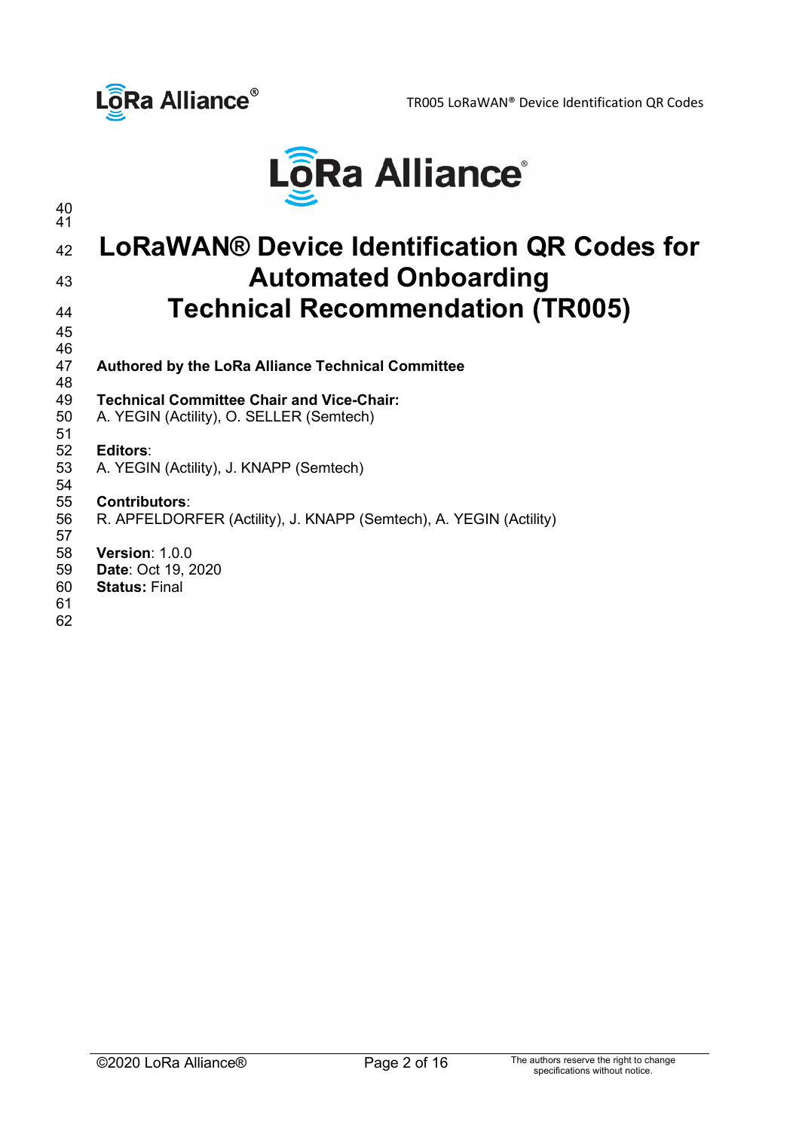



## **LoRaWAN® Device Identification QR Codes for Automated Onboarding Technical Recommendation (TR005)**

- 46<br>47 **Authored by the LoRa Alliance Technical Committee**
- 48<br>49
- **Technical Committee Chair and Vice-Chair:** A. YEGIN (Actility), O. SELLER (Semtech)

# 51<br>52

 **Editors**: A. YEGIN (Actility), J. KNAPP (Semtech)

## 

 **Contributors**: R. APFELDORFER (Actility), J. KNAPP (Semtech), A. YEGIN (Actility)

- **Version**: 1.0.0 **Date**: Oct 19, 2020
- **Status:** Final
-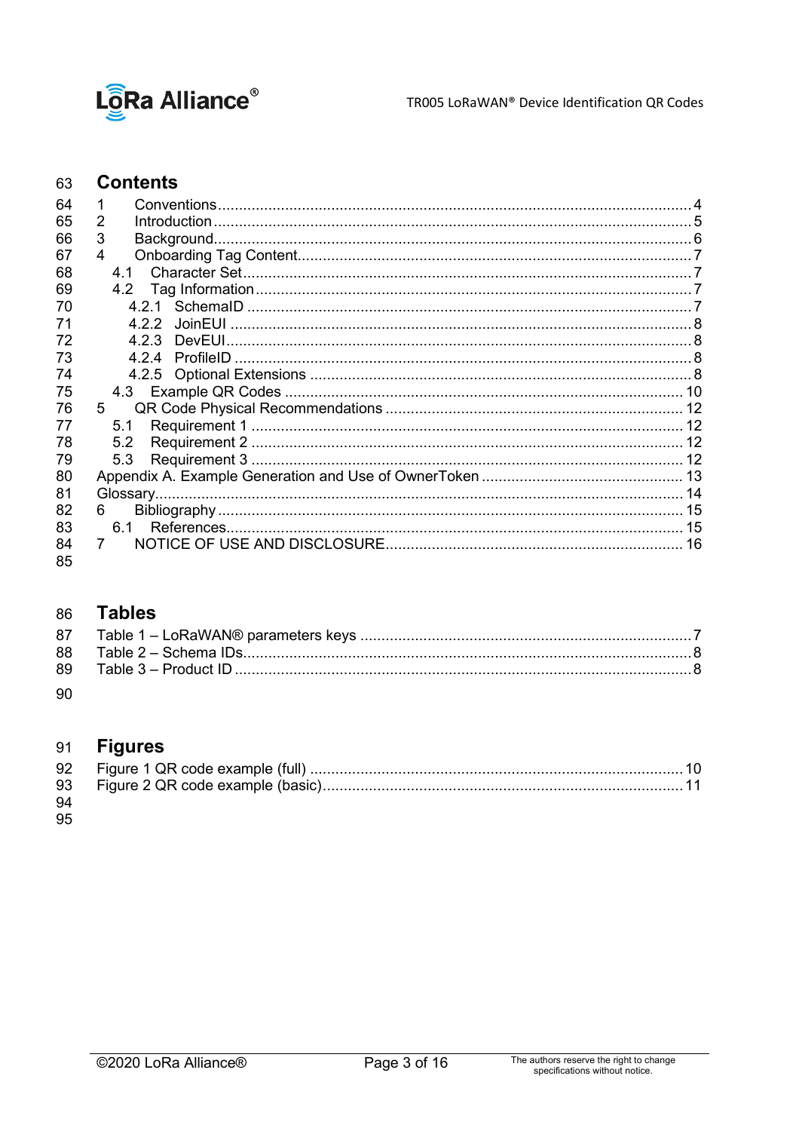

TR005 LoRaWAN® Device Identification QR Codes

#### **Contents** 63

| 64 | 1              |  |
|----|----------------|--|
| 65 | 2              |  |
| 66 | 3              |  |
| 67 | 4              |  |
| 68 | 41             |  |
| 69 | 4.2            |  |
| 70 |                |  |
| 71 | 422            |  |
| 72 | 423            |  |
| 73 | 424            |  |
| 74 |                |  |
| 75 |                |  |
| 76 | $5^{\circ}$    |  |
| 77 | 5.1            |  |
| 78 | 5.2            |  |
| 79 | 5.3            |  |
| 80 |                |  |
| 81 |                |  |
| 82 | 6.             |  |
| 83 |                |  |
| 84 | $\overline{7}$ |  |
| 85 |                |  |

#### **Tables** 86

90

#### **Figures** 91

| 94 |  |  |
|----|--|--|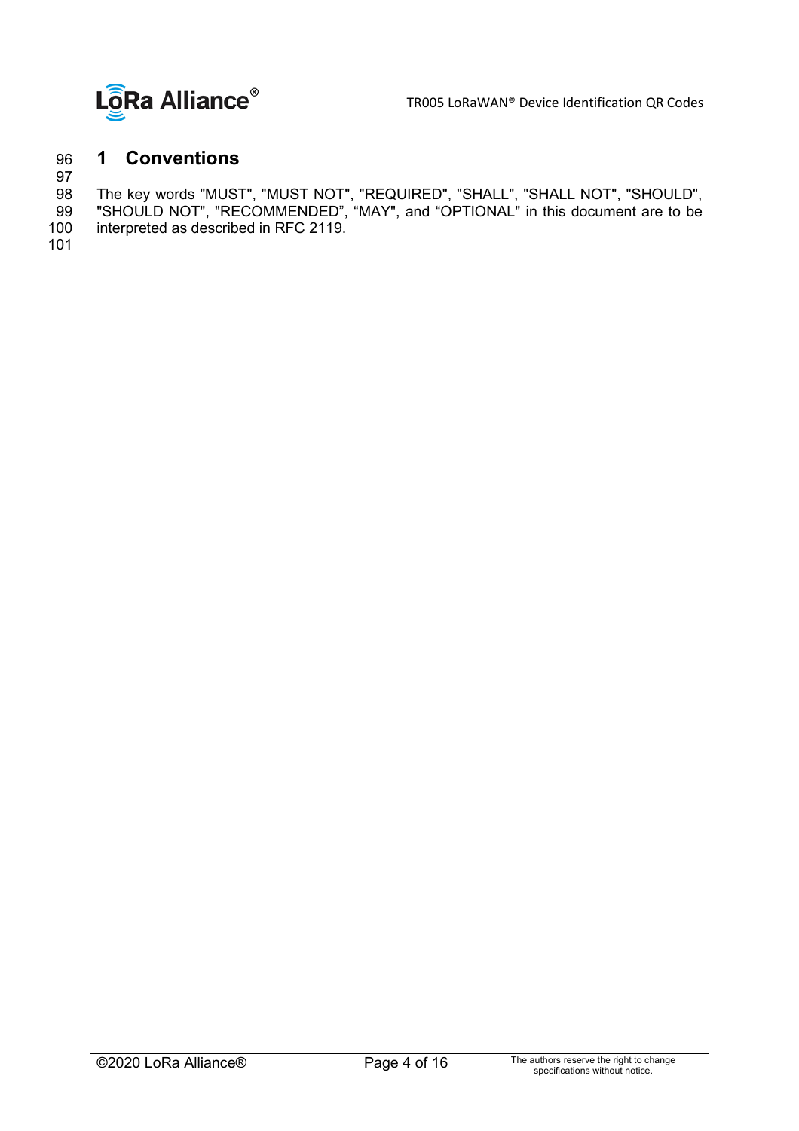

## <span id="page-3-0"></span>96 **1 Conventions**

97<br>98

98 The key words "MUST", "MUST NOT", "REQUIRED", "SHALL", "SHALL NOT", "SHOULD",

99 "SHOULD NOT", "RECOMMENDED", "MAY", and "OPTIONAL" in this document are to be 100 interpreted as described in RFC 2119.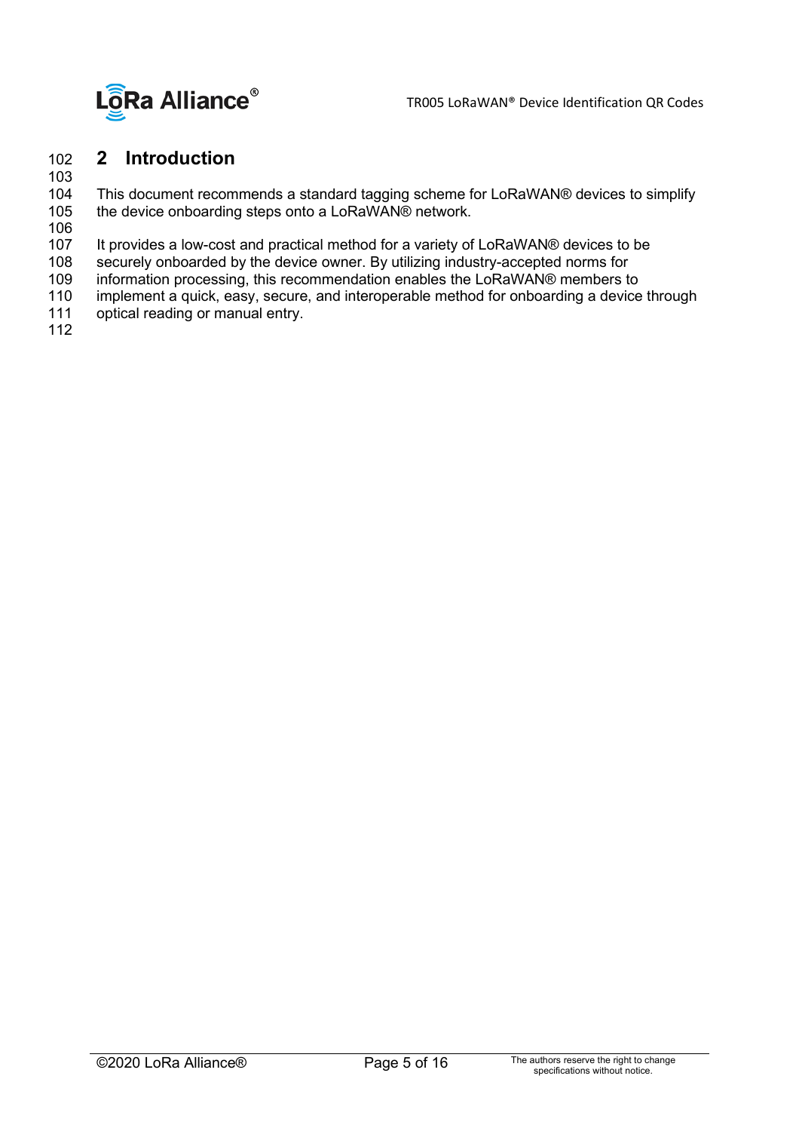

## <span id="page-4-0"></span>102 **2 Introduction**

103

This document recommends a standard tagging scheme for LoRaWAN® devices to simplify 105 the device onboarding steps onto a LoRaWAN® network.

106

107 It provides a low-cost and practical method for a variety of LoRaWAN® devices to be<br>108 securely onboarded by the device owner. By utilizing industry-accepted norms for

108 securely onboarded by the device owner. By utilizing industry-accepted norms for<br>109 information processing, this recommendation enables the LoRaWAN® members to

109 information processing, this recommendation enables the LoRaWAN® members to<br>110 implement a quick, easy, secure, and interoperable method for onboarding a device

- 110 implement a quick, easy, secure, and interoperable method for onboarding a device through<br>111 optical reading or manual entry.
- optical reading or manual entry.
- 112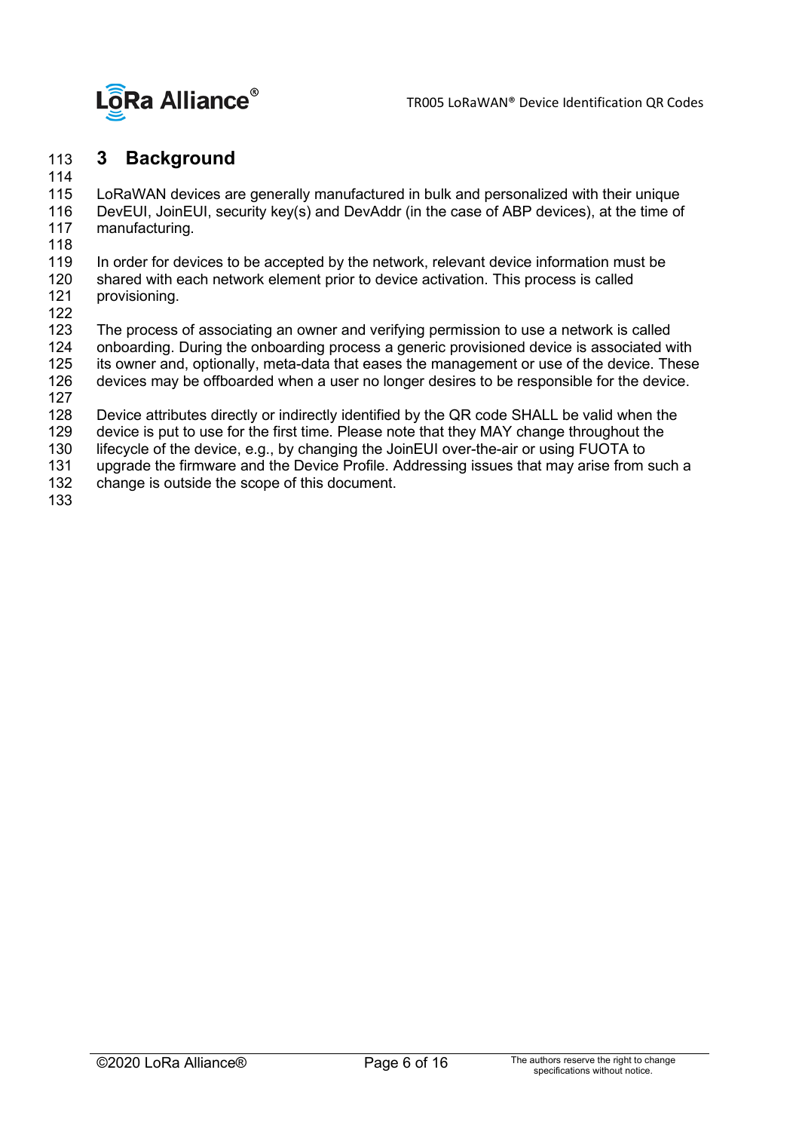

#### <span id="page-5-0"></span>113 **3 Background**

114

LoRaWAN devices are generally manufactured in bulk and personalized with their unique 116 DevEUI, JoinEUI, security key(s) and DevAddr (in the case of ABP devices), at the time of manufacturing.

- 
- 118<br>119 119 In order for devices to be accepted by the network, relevant device information must be 120 shared with each network element prior to device activation. This process is called
- 120 shared with each network element prior to device activation. This process is called 121 provisioning. provisioning.
- 

122<br>123 123 The process of associating an owner and verifying permission to use a network is called<br>124 Onboarding. During the onboarding process a generic provisioned device is associated w

- 124 onboarding. During the onboarding process a generic provisioned device is associated with<br>125 its owner and, optionally, meta-data that eases the management or use of the device. These
- its owner and, optionally, meta-data that eases the management or use of the device. These
- 126 devices may be offboarded when a user no longer desires to be responsible for the device.
- 127<br>128
- 128 Device attributes directly or indirectly identified by the QR code SHALL be valid when the 129 device is put to use for the first time. Please note that they MAY change throughout the 129 device is put to use for the first time. Please note that they MAY change throughout the 130 lifecycle of the device, e.g., by changing the JoinEUI over-the-air or using FUOTA to
- 130 lifecycle of the device, e.g., by changing the JoinEUI over-the-air or using FUOTA to<br>131 updrade the firmware and the Device Profile. Addressing issues that may arise from
- 131 upgrade the firmware and the Device Profile. Addressing issues that may arise from such a<br>132 change is outside the scope of this document.
- change is outside the scope of this document.
- 133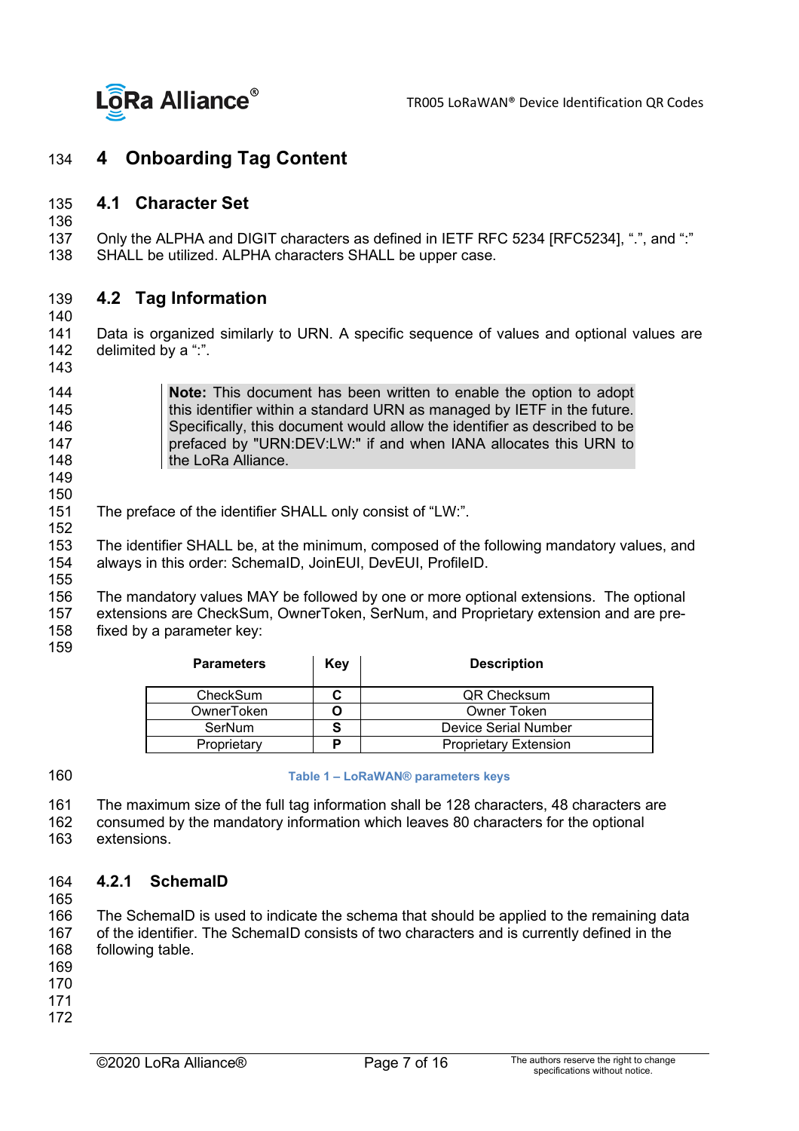

#### <span id="page-6-1"></span><span id="page-6-0"></span>134 **4 Onboarding Tag Content**

#### 135 **4.1 Character Set**

136<br>137

137 Only the ALPHA and DIGIT characters as defined in IETF RFC 5234 [RFC5234], ".", and ":"<br>138 SHALL be utilized. ALPHA characters SHALL be upper case. SHALL be utilized. ALPHA characters SHALL be upper case.

#### <span id="page-6-2"></span>139 **4.2 Tag Information**

140<br>141

Data is organized similarly to URN. A specific sequence of values and optional values are 142 delimited by a ":".

143

**Note:** This document has been written to enable the option to adopt this identifier within a standard URN as managed by IETF in the future. this identifier within a standard URN as managed by IETF in the future. Specifically, this document would allow the identifier as described to be **prefaced by "URN:DEV:LW:"** if and when IANA allocates this URN to **the LoRa Alliance.** 

149

150<br>151 The preface of the identifier SHALL only consist of "LW:".

152<br>153 153 The identifier SHALL be, at the minimum, composed of the following mandatory values, and 154 always in this order: SchemalD, JoinEUI, DevEUI, ProfileID. always in this order: SchemaID, JoinEUI, DevEUI, ProfileID.

155

156 The mandatory values MAY be followed by one or more optional extensions. The optional 157 extensions are CheckSum, OwnerToken, SerNum, and Proprietary extension and are pre-<br>158 fixed by a parameter key: fixed by a parameter key:

159

| <b>Parameters</b> | Key | <b>Description</b>           |
|-------------------|-----|------------------------------|
| CheckSum          |     | QR Checksum                  |
| OwnerToken        |     | Owner Token                  |
| SerNum            |     | Device Serial Number         |
| Proprietary       | D   | <b>Proprietary Extension</b> |

<span id="page-6-4"></span>160 **Table 1 – LoRaWAN® parameters keys**

161 The maximum size of the full tag information shall be 128 characters, 48 characters are

162 consumed by the mandatory information which leaves 80 characters for the optional extensions

#### <span id="page-6-3"></span>164 **4.2.1 SchemaID**

165

166 The SchemaID is used to indicate the schema that should be applied to the remaining data<br>167 of the identifier. The SchemaID consists of two characters and is currently defined in the 167 of the identifier. The SchemaID consists of two characters and is currently defined in the 168 following table. following table.

- 169
- 170
- 171
- 172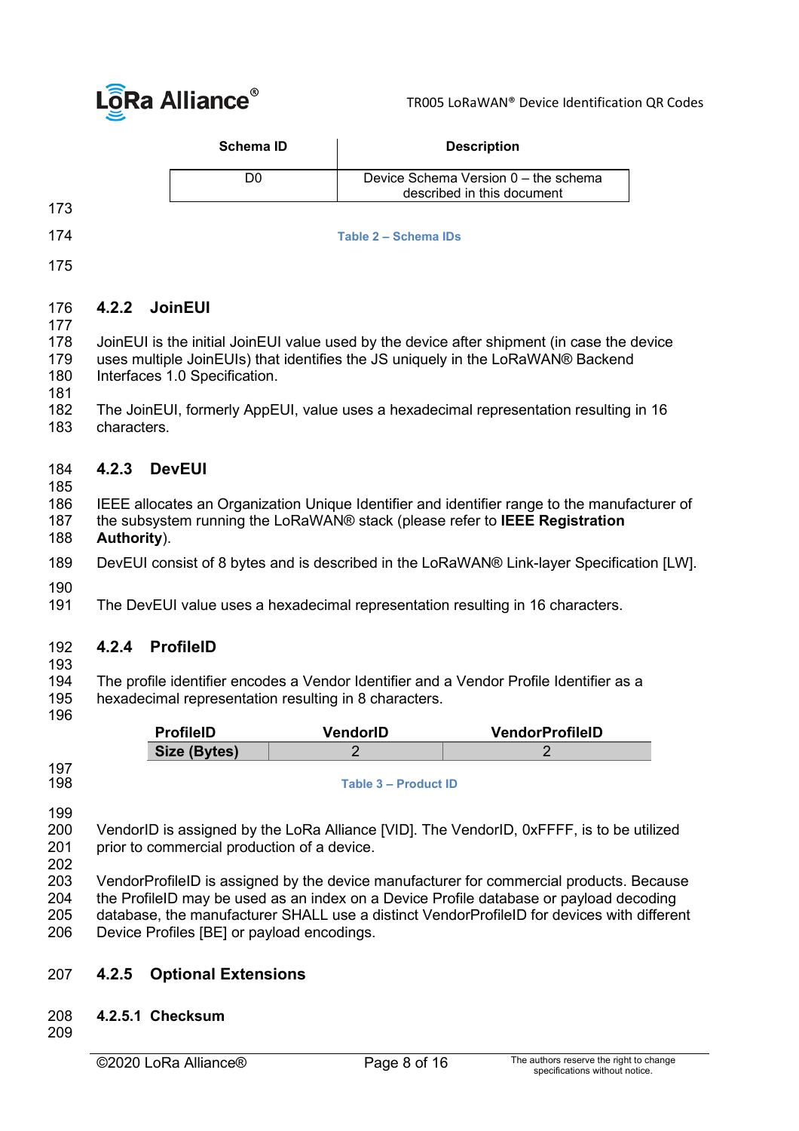

| <b>Schema ID</b> | <b>Description</b>                                                 |
|------------------|--------------------------------------------------------------------|
|                  | Device Schema Version 0 – the schema<br>described in this document |
|                  |                                                                    |

- 173
- 

<span id="page-7-4"></span>174 **Table 2 – Schema IDs**

175

#### <span id="page-7-0"></span>176 **4.2.2 JoinEUI**

177

178 JoinEUI is the initial JoinEUI value used by the device after shipment (in case the device 179 uses multiple JoinEUIs) that identifies the JS uniquely in the LoRaWAN® Backend 179 uses multiple JoinEUIs) that identifies the JS uniquely in the [LoRaWAN®](#page-14-2) Backend<br>180 Interfaces 1.0 Specification. [Interfaces 1.0 Specification.](#page-14-2)

- 181
- 182 The JoinEUI, formerly AppEUI, value uses a hexadecimal representation resulting in 16 characters

#### <span id="page-7-1"></span>184 **4.2.3 DevEUI**

185

# 186 IEEE allocates an Organization Unique Identifier and identifier range to the manufacturer of 187 the subsystem running the LoRaWAN® stack (please refer to **IEEE Registration**

187 the subsystem running the LoRaWAN® stack (please refer to **IEEE Registration** 

## Authority).

189 DevEUI consist of 8 bytes and is described in the LoRaWAN® Link-layer Specification [LW].

190<br>191 The DevEUI value uses a hexadecimal representation resulting in 16 characters.

#### <span id="page-7-2"></span>192 **4.2.4 ProfileID**

193<br>194 The profile identifier encodes a Vendor Identifier and a Vendor Profile Identifier as a 195 hexadecimal representation resulting in 8 characters.

196

| <b>ProfileID</b> | VendorID | <b>VendorProfileID</b> |  |
|------------------|----------|------------------------|--|
| Size (Bytes)     |          |                        |  |

198 **Table 3 – Product ID** 

<span id="page-7-5"></span>197

199<br>200 200 VendorID is assigned by the LoRa Alliance [VID]. The VendorID, 0xFFFF, is to be utilized 201 prior to commercial production of a device.

prior to commercial production of a device.

202<br>203 VendorProfileID is assigned by the device manufacturer for commercial products. Because 204 the ProfileID may be used as an index on a Device Profile database or payload decoding 205 database, the manufacturer SHALL use a distinct VendorProfileID for devices with different 206<br>206 Device Profiles IBEI or pavload encodings. Device Profiles [BE] or payload encodings.

#### <span id="page-7-3"></span>207 **4.2.5 Optional Extensions**

#### 208 **4.2.5.1 Checksum**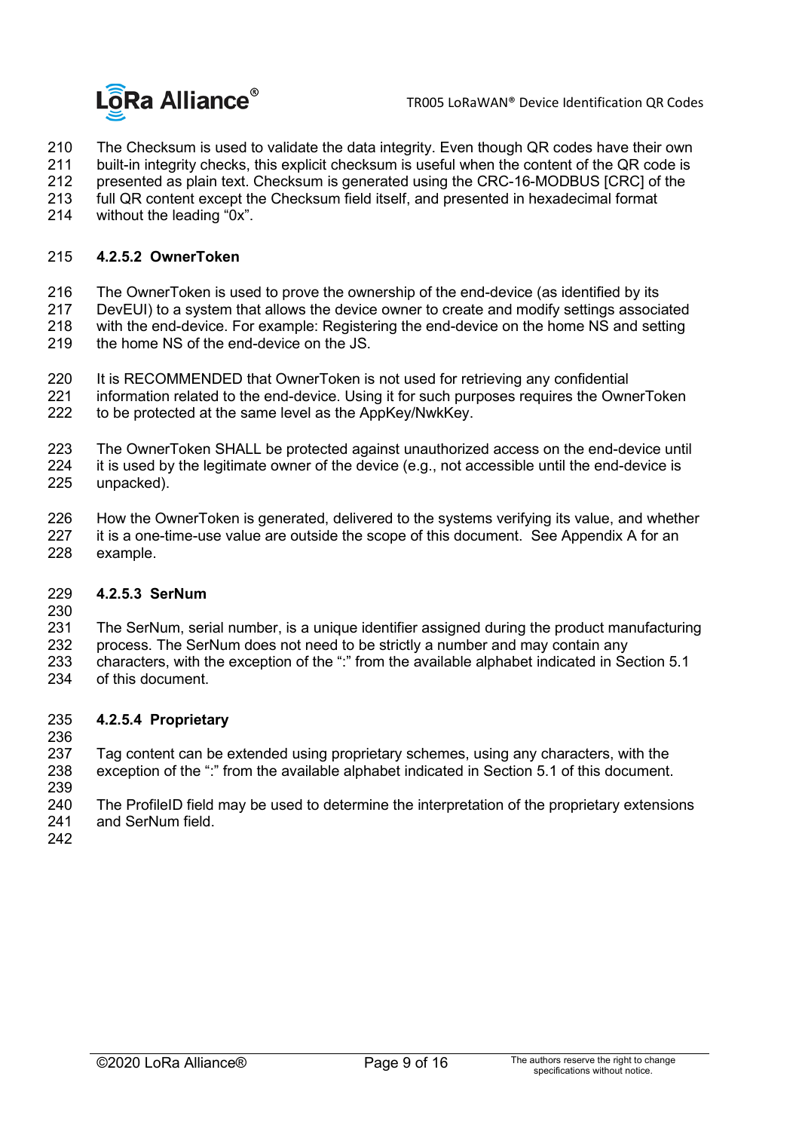

210 The Checksum is used to validate the data integrity. Even though QR codes have their own<br>211 built-in integrity checks, this explicit checksum is useful when the content of the QR code is

- 211 built-in integrity checks, this explicit checksum is useful when the content of the QR code is<br>212 presented as plain text. Checksum is generated using the CRC-16-MODBUS ICRCI of the
- 212 presented as plain text. Checksum is generated using the CRC-16-MODBUS [CRC] of the 213 full QR content except the Checksum field itself, and presented in hexadecimal format
- 213 full QR content except the Checksum field itself, and presented in hexadecimal format<br>214 without the leading "0x".
- <span id="page-8-0"></span>without the leading "0x".

#### 215 **4.2.5.2 OwnerToken**

- 
- 216 The OwnerToken is used to prove the ownership of the end-device (as identified by its<br>217 DevEUI) to a system that allows the device owner to create and modify settings associa
- 217 DevEUI) to a system that allows the device owner to create and modify settings associated<br>218 vith the end-device. For example: Registering the end-device on the home NS and setting with the end-device. For example: Registering the end-device on the home NS and setting 219 the home NS of the end-device on the JS.
- 
- 
- 220 It is RECOMMENDED that OwnerToken is not used for retrieving any confidential<br>221 information related to the end-device. Using it for such purposes requires the Own 221 information related to the end-device. Using it for such purposes requires the OwnerToken<br>222 to be protected at the same level as the AppKey/NwkKey. to be protected at the same level as the AppKey/NwkKey.
- 223 The OwnerToken SHALL be protected against unauthorized access on the end-device until<br>224 it is used by the legitimate owner of the device (e.g., not accessible until the end-device is
- 224 it is used by the legitimate owner of the device (e.g., not accessible until the end-device is 225 unpacked). unpacked).
- 226 How the OwnerToken is generated, delivered to the systems verifying its value, and whether<br>227 it is a one-time-use value are outside the scope of this document. See Appendix A for an 227 it is a one-time-use value are outside the scope of this document. See Appendix A for an 228 example. example.

#### 229 **4.2.5.3 SerNum**

230

231 The SerNum, serial number, is a unique identifier assigned during the product manufacturing

- 232 process. The SerNum does not need to be strictly a number and may contain any<br>233 characters, with the exception of the ":" from the available alphabet indicated in Se
- 233 characters, with the exception of the ":" from the available alphabet indicated in Section 5.1<br>234 of this document.
- of this document.

#### 235 **4.2.5.4 Proprietary**

- 236
- 237 Tag content can be extended using proprietary schemes, using any characters, with the 238 exception of the ":" from the available alphabet indicated in Section 5.1 of this document.
- 239<br>240 240 The ProfileID field may be used to determine the interpretation of the proprietary extensions<br>241 and SerNum field. and SerNum field
- 242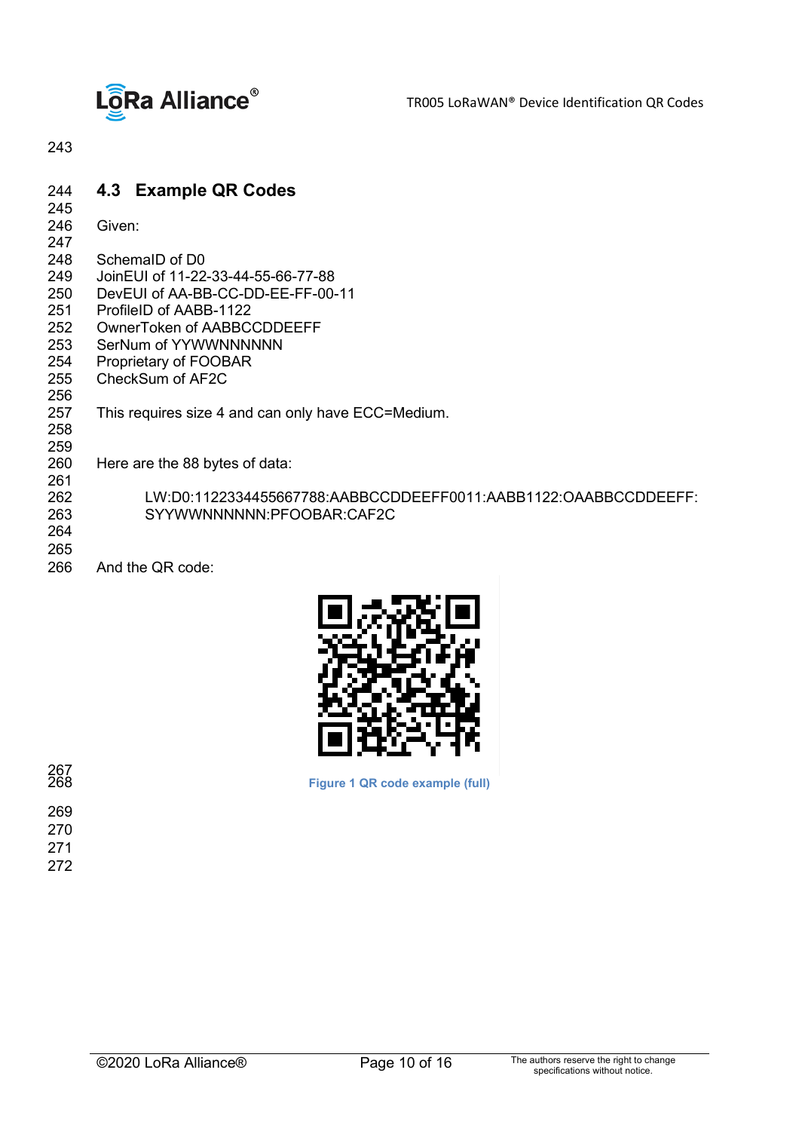

TR005 LoRaWAN® Device Identification QR Codes

<span id="page-9-0"></span>243

#### 244 **4.3 Example QR Codes**

- 245<br>246
- Given:
- 247<br>248
- 248 SchemaID of D0<br>249 JoinEUI of 11-22
- 249 JoinEUI of 11-22-33-44-55-66-77-88
- 250 DevEUI of AA-BB-CC-DD-EE-FF-00-11<br>251 ProfileID of AABB-1122
- ProfileID of AABB-1122
- 252 OwnerToken of AABBCCDDEEFF<br>253 SerNum of YYWWNNNNNN
- 253 SerNum of YYWWNNNNNNN<br>254 Proprietary of FOOBAR
- 254 Proprietary of FOOBAR<br>255 CheckSum of AF2C
- CheckSum of AF2C
- 256<br>257 This requires size 4 and can only have ECC=Medium.
- 258
- 
- 259<br>260 Here are the 88 bytes of data: 261<br>262
- 262 LW:D0:1122334455667788:AABBCCDDEEFF0011:AABB1122:OAABBCCDDEEFF:<br>263 SYYWWNNNNNN:PFOOBAR:CAF2C 263 SYYWWNNNNNN:PFOOBAR:CAF2C
- 264
- 265<br>266 And the QR code:



**Figure 1 QR code example (full)**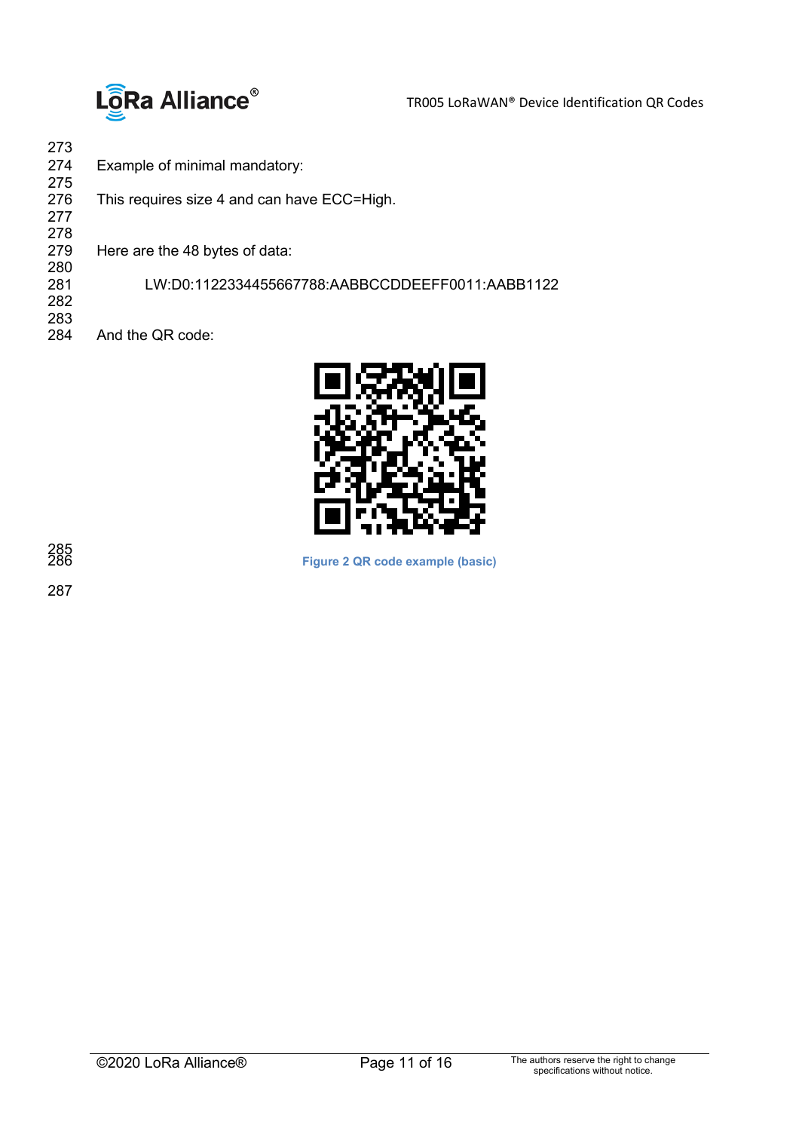

273 Example of minimal mandatory: 275 This requires size 4 and can have ECC=High. 277 278 Here are the 48 bytes of data: 280 281 LW:D0:1122334455667788:AABBCCDDEEFF0011:AABB1122 282 283 And the QR code:



**Figure 2 QR code example (basic)**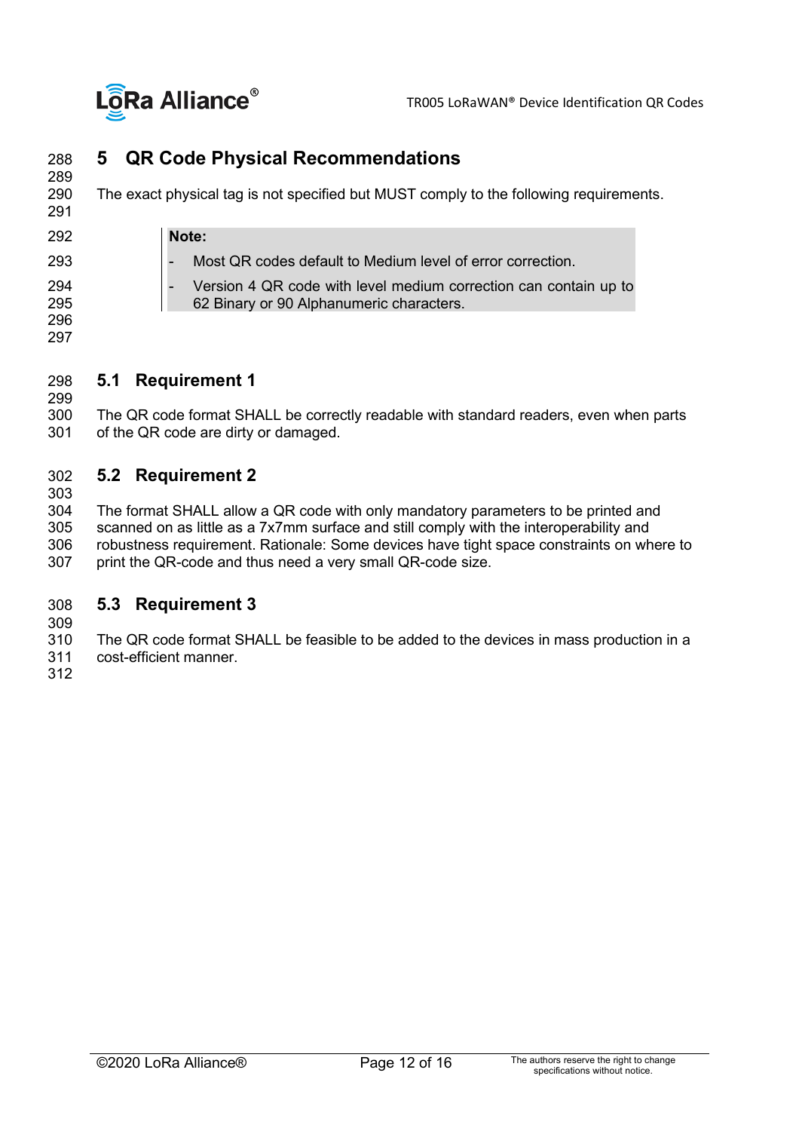

## <span id="page-11-0"></span>288 **5 QR Code Physical Recommendations**

289 The exact physical tag is not specified but MUST comply to the following requirements.

| 292        | Note:                                                                                                        |
|------------|--------------------------------------------------------------------------------------------------------------|
| 293        | Most QR codes default to Medium level of error correction.                                                   |
| 294<br>295 | Version 4 QR code with level medium correction can contain up to<br>62 Binary or 90 Alphanumeric characters. |
| 296<br>297 |                                                                                                              |

#### <span id="page-11-1"></span>298 **5.1 Requirement 1**

299<br>300 300 The QR code format SHALL be correctly readable with standard readers, even when parts 301 of the QR code are dirty or damaged. of the QR code are dirty or damaged.

#### <span id="page-11-2"></span>302 **5.2 Requirement 2**

303<br>304

291

304 The format SHALL allow a QR code with only mandatory parameters to be printed and<br>305 scanned on as little as a 7x7mm surface and still comply with the interoperability and 305 scanned on as little as a 7x7mm surface and still comply with the interoperability and robustness requirement. Rationale: Some devices have tight space constraints on where to 307 print the QR-code and thus need a very small QR-code size.

#### <span id="page-11-3"></span>308 **5.3 Requirement 3**

309<br>310

310 The QR code format SHALL be feasible to be added to the devices in mass production in a<br>311 Cost-efficient manner cost-efficient manner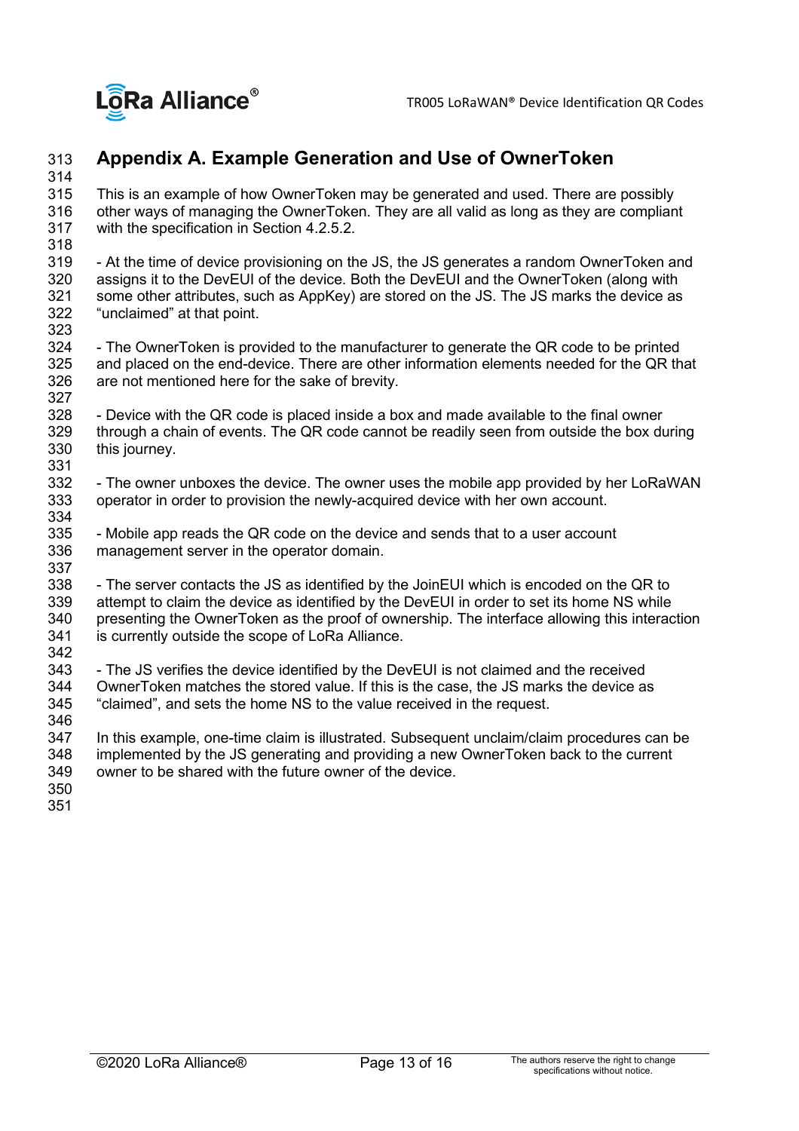

### <span id="page-12-0"></span>313 **Appendix A. Example Generation and Use of OwnerToken**

314<br>315

This is an example of how OwnerToken may be generated and used. There are possibly 316 other ways of managing the OwnerToken. They are all valid as long as they are compliant with the specification in Section [4.2.5.2.](#page-8-0)

318<br>319 319 - At the time of device provisioning on the JS, the JS generates a random OwnerToken and<br>320 assigns it to the DevEUI of the device. Both the DevEUI and the OwnerToken (along with 320 assigns it to the DevEUI of the device. Both the DevEUI and the OwnerToken (along with<br>321 some other attributes, such as AppKey) are stored on the JS. The JS marks the device as 321 some other attributes, such as AppKey) are stored on the JS. The JS marks the device as 322 "unclaimed" at that point. "unclaimed" at that point.

323<br>324 324 - The OwnerToken is provided to the manufacturer to generate the QR code to be printed<br>325 and placed on the end-device. There are other information elements needed for the QR th and placed on the end-device. There are other information elements needed for the QR that 326 are not mentioned here for the sake of brevity.

327<br>328 328 - Device with the QR code is placed inside a box and made available to the final owner<br>329 through a chain of events. The QR code cannot be readily seen from outside the box du 329 through a chain of events. The QR code cannot be readily seen from outside the box during<br>330 this journey. this journey.

331<br>332 - The owner unboxes the device. The owner uses the mobile app provided by her LoRaWAN 333 operator in order to provision the newly-acquired device with her own account.

334<br>335 335 - Mobile app reads the QR code on the device and sends that to a user account 336 management server in the operator domain. management server in the operator domain.

337<br>338 338 - The server contacts the JS as identified by the JoinEUI which is encoded on the QR to<br>339 attempt to claim the device as identified by the DevEUI in order to set its home NS while attempt to claim the device as identified by the DevEUI in order to set its home NS while 340 presenting the OwnerToken as the proof of ownership. The interface allowing this interaction 341 is currently outside the scope of LoRa Alliance.

342<br>343 343 - The JS verifies the device identified by the DevEUI is not claimed and the received<br>344 OwnerToken matches the stored value. If this is the case, the JS marks the device as 344 OwnerToken matches the stored value. If this is the case, the JS marks the device as 345 <br>345 "claimed", and sets the home NS to the value received in the request. "claimed", and sets the home NS to the value received in the request. 346

347 In this example, one-time claim is illustrated. Subsequent unclaim/claim procedures can be 348 implemented by the JS generating and providing a new OwnerToken back to the current owner to be shared with the future owner of the device.

- 350
- 351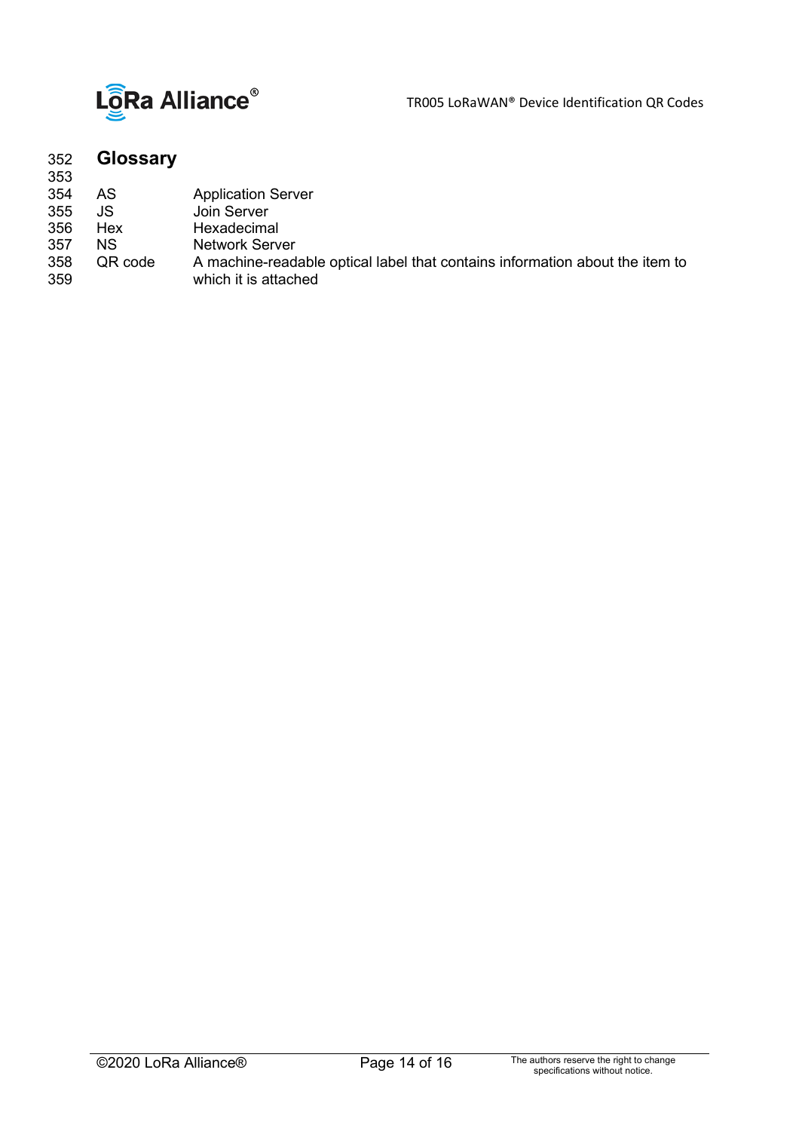

TR005 LoRaWAN® Device Identification QR Codes

<span id="page-13-0"></span>

| 352<br>353 | <b>Glossary</b> |                                                                              |
|------------|-----------------|------------------------------------------------------------------------------|
| 354        | AS              | <b>Application Server</b>                                                    |
| 355        | JS              | Join Server                                                                  |
| 356        | Hex             | Hexadecimal                                                                  |
| 357        | <b>NS</b>       | <b>Network Server</b>                                                        |
| 358        | QR code         | A machine-readable optical label that contains information about the item to |
| 359        |                 | which it is attached                                                         |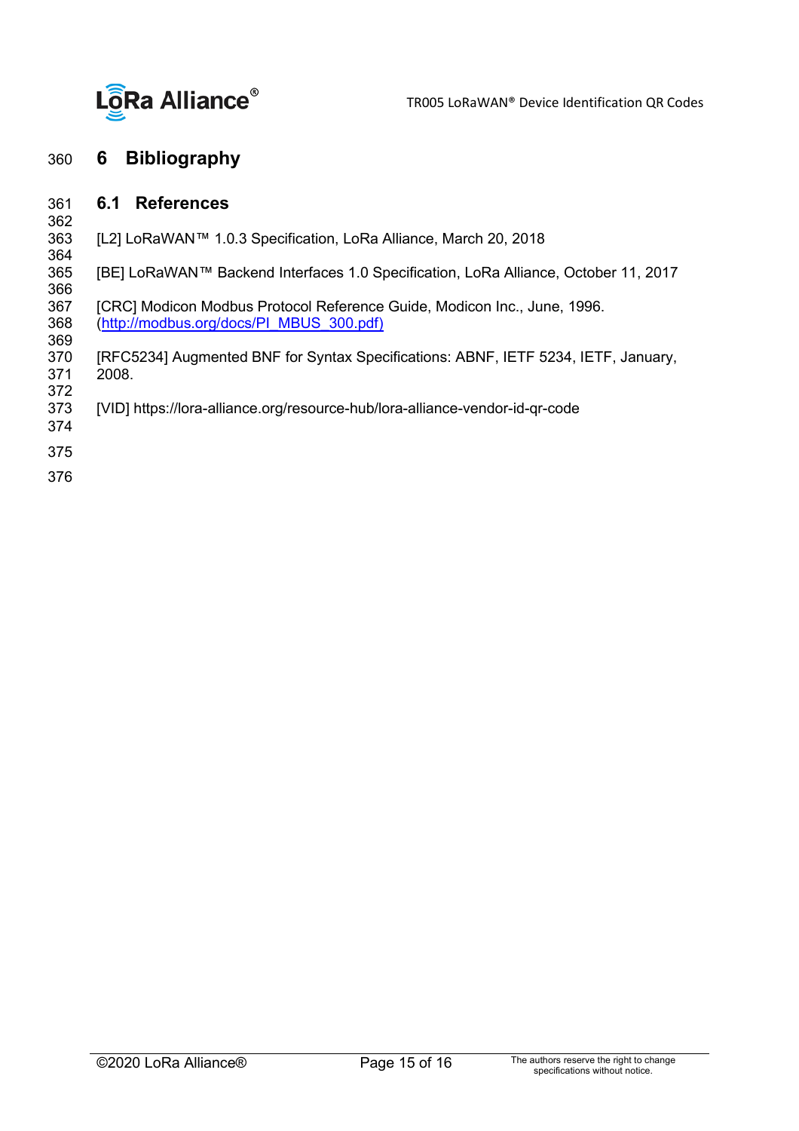

#### <span id="page-14-1"></span><span id="page-14-0"></span>360 **6 Bibliography**

#### 361 **6.1 References**

- 362<br>363 [L2] LoRaWAN™ 1.0.3 Specification, LoRa Alliance, March 20, 2018
- <span id="page-14-2"></span>364<br>365 365 [BE] LoRaWAN™ Backend Interfaces 1.0 Specification, LoRa Alliance, October 11, 2017
- 366<br>367 367 [CRC] Modicon Modbus Protocol Reference Guide, Modicon Inc., June, 1996.<br>368 (http://modbus.org/docs/PI\_MBUS\_300.pdf) 368 [\(http://modbus.org/docs/PI\\_MBUS\\_300.pdf\)](http://modbus.org/docs/PI_MBUS_300.pdf))
- 369<br>370 370 [RFC5234] Augmented BNF for Syntax Specifications: ABNF, IETF 5234, IETF, January, 2008.
- 
- 372 [VID] https://lora-alliance.org/resource-hub/lora-alliance-vendor-id-qr-code
- 374
- 375
- 376